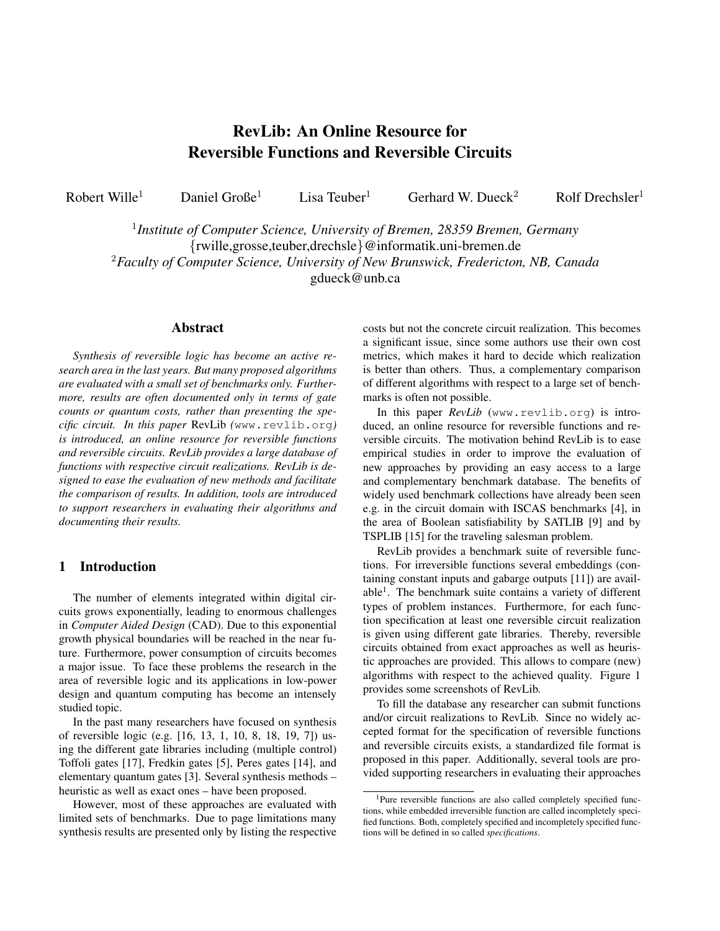# RevLib: An Online Resource for Reversible Functions and Reversible Circuits

Robert Wille<sup>1</sup> Daniel Große<sup>1</sup> Lisa Teuber<sup>1</sup> Gerhard W. Dueck<sup>2</sup> Rolf Drechsler<sup>1</sup>

1 *Institute of Computer Science, University of Bremen, 28359 Bremen, Germany* {rwille,grosse,teuber,drechsle}@informatik.uni-bremen.de <sup>2</sup>*Faculty of Computer Science, University of New Brunswick, Fredericton, NB, Canada* gdueck@unb.ca

### Abstract

*Synthesis of reversible logic has become an active research area in the last years. But many proposed algorithms are evaluated with a small set of benchmarks only. Furthermore, results are often documented only in terms of gate counts or quantum costs, rather than presenting the specific circuit. In this paper* RevLib *(*www.revlib.org*) is introduced, an online resource for reversible functions and reversible circuits. RevLib provides a large database of functions with respective circuit realizations. RevLib is designed to ease the evaluation of new methods and facilitate the comparison of results. In addition, tools are introduced to support researchers in evaluating their algorithms and documenting their results.*

### 1 Introduction

The number of elements integrated within digital circuits grows exponentially, leading to enormous challenges in *Computer Aided Design* (CAD). Due to this exponential growth physical boundaries will be reached in the near future. Furthermore, power consumption of circuits becomes a major issue. To face these problems the research in the area of reversible logic and its applications in low-power design and quantum computing has become an intensely studied topic.

In the past many researchers have focused on synthesis of reversible logic (e.g. [16, 13, 1, 10, 8, 18, 19, 7]) using the different gate libraries including (multiple control) Toffoli gates [17], Fredkin gates [5], Peres gates [14], and elementary quantum gates [3]. Several synthesis methods – heuristic as well as exact ones – have been proposed.

However, most of these approaches are evaluated with limited sets of benchmarks. Due to page limitations many synthesis results are presented only by listing the respective

costs but not the concrete circuit realization. This becomes a significant issue, since some authors use their own cost metrics, which makes it hard to decide which realization is better than others. Thus, a complementary comparison of different algorithms with respect to a large set of benchmarks is often not possible.

In this paper *RevLib* (www.revlib.org) is introduced, an online resource for reversible functions and reversible circuits. The motivation behind RevLib is to ease empirical studies in order to improve the evaluation of new approaches by providing an easy access to a large and complementary benchmark database. The benefits of widely used benchmark collections have already been seen e.g. in the circuit domain with ISCAS benchmarks [4], in the area of Boolean satisfiability by SATLIB [9] and by TSPLIB [15] for the traveling salesman problem.

RevLib provides a benchmark suite of reversible functions. For irreversible functions several embeddings (containing constant inputs and gabarge outputs [11]) are available<sup>1</sup>. The benchmark suite contains a variety of different types of problem instances. Furthermore, for each function specification at least one reversible circuit realization is given using different gate libraries. Thereby, reversible circuits obtained from exact approaches as well as heuristic approaches are provided. This allows to compare (new) algorithms with respect to the achieved quality. Figure 1 provides some screenshots of RevLib.

To fill the database any researcher can submit functions and/or circuit realizations to RevLib. Since no widely accepted format for the specification of reversible functions and reversible circuits exists, a standardized file format is proposed in this paper. Additionally, several tools are provided supporting researchers in evaluating their approaches

<sup>&</sup>lt;sup>1</sup>Pure reversible functions are also called completely specified functions, while embedded irreversible function are called incompletely specified functions. Both, completely specified and incompletely specified functions will be defined in so called *specifications*.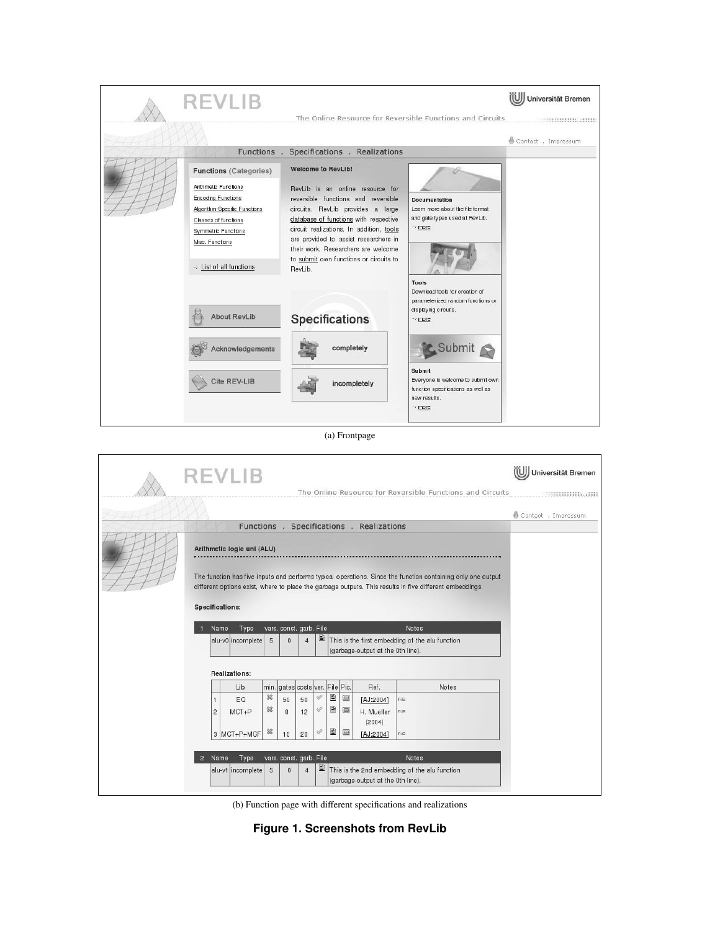

(a) Frontpage

|                      |                                | <b>REVLIB</b>                                                                                                                                    |        |                                 |                |                   |        |                |                                           | Universität Bremen                                                                                                                                                                                                     |
|----------------------|--------------------------------|--------------------------------------------------------------------------------------------------------------------------------------------------|--------|---------------------------------|----------------|-------------------|--------|----------------|-------------------------------------------|------------------------------------------------------------------------------------------------------------------------------------------------------------------------------------------------------------------------|
|                      |                                |                                                                                                                                                  |        |                                 |                |                   |        |                |                                           | The Online Resource for Reversible Functions and Circuits<br>Contact . Impressum                                                                                                                                       |
|                      |                                |                                                                                                                                                  |        |                                 |                |                   |        |                | Functions . Specifications . Realizations |                                                                                                                                                                                                                        |
|                      |                                | Arithmetic logic uni (ALU)                                                                                                                       |        |                                 |                |                   |        |                |                                           | The function has five inputs and performs typical operations. Since the function containing only one output<br>different options exist, where to place the garbage outputs. This results in five different embeddings. |
|                      | <b>Specifications:</b><br>Name | Type                                                                                                                                             |        | vars. const. garb. File         |                |                   |        |                |                                           | Notes                                                                                                                                                                                                                  |
|                      |                                | alu-v0 incomplete 5                                                                                                                              |        | $\Omega$                        | $\overline{4}$ | ▣                 |        |                | (garbage-output at the 0th line).         | This is the first embedding of the alu function                                                                                                                                                                        |
| <b>Realizations:</b> |                                |                                                                                                                                                  |        |                                 |                |                   |        |                |                                           |                                                                                                                                                                                                                        |
|                      |                                | Lib.                                                                                                                                             |        | min. gates costs ver. File Pic. |                |                   |        |                | Ref.                                      | Notes                                                                                                                                                                                                                  |
|                      | 1<br>$\overline{c}$            | EQ<br>$MCT + P$                                                                                                                                  | ×<br>× | 50<br>8                         | 50<br>12       | ♦<br>$\mathscr Q$ | €<br>圕 | $\blacksquare$ | [AJ:2004]<br>H. Mueller                   | n/a<br>n/a                                                                                                                                                                                                             |
|                      |                                | 3 MCT+P+MCF                                                                                                                                      | $\%$   | 10                              | 20             | ♦                 | 圕      | $\blacksquare$ | (2004)<br>[AJ:2004]                       | n/a                                                                                                                                                                                                                    |
| $\overline{2}$       | Name                           | Type                                                                                                                                             |        | vars. const. garb. File         |                |                   |        |                |                                           | <b>Notes</b>                                                                                                                                                                                                           |
|                      |                                | ▤<br>alu-v1 incomplete 5<br>This is the 2nd embedding of the alu function<br>$\mathbf{0}$<br>$\overline{4}$<br>(garbage-output at the 0th line). |        |                                 |                |                   |        |                |                                           |                                                                                                                                                                                                                        |

(b) Function page with different specifications and realizations

**Figure 1. Screenshots from RevLib**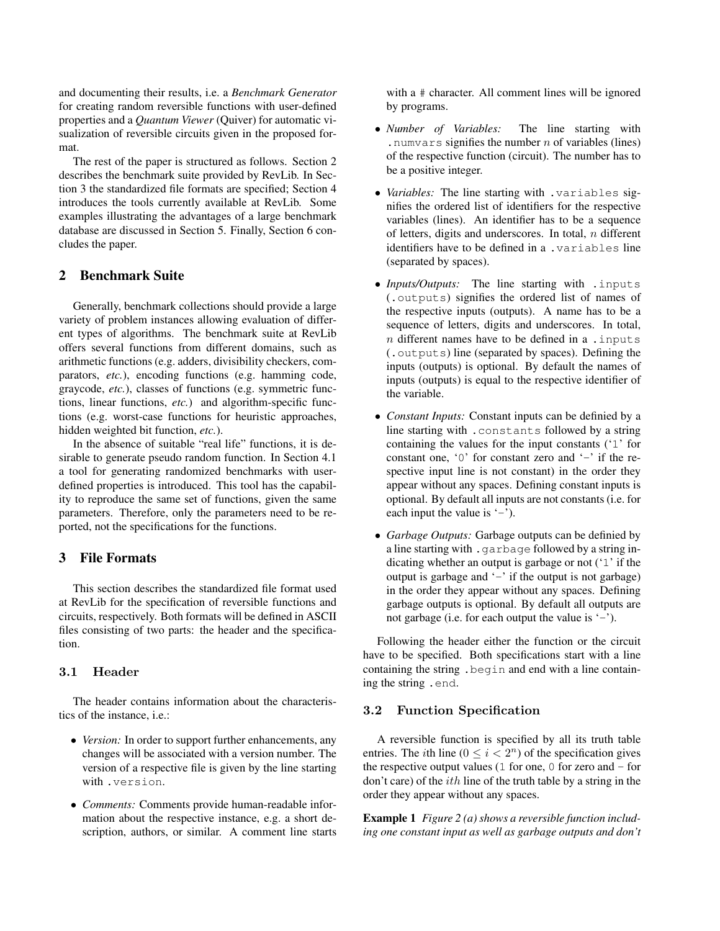and documenting their results, i.e. a *Benchmark Generator* for creating random reversible functions with user-defined properties and a *Quantum Viewer* (Quiver) for automatic visualization of reversible circuits given in the proposed format.

The rest of the paper is structured as follows. Section 2 describes the benchmark suite provided by RevLib. In Section 3 the standardized file formats are specified; Section 4 introduces the tools currently available at RevLib. Some examples illustrating the advantages of a large benchmark database are discussed in Section 5. Finally, Section 6 concludes the paper.

### 2 Benchmark Suite

Generally, benchmark collections should provide a large variety of problem instances allowing evaluation of different types of algorithms. The benchmark suite at RevLib offers several functions from different domains, such as arithmetic functions (e.g. adders, divisibility checkers, comparators, *etc.*), encoding functions (e.g. hamming code, graycode, *etc.*), classes of functions (e.g. symmetric functions, linear functions, *etc.*) and algorithm-specific functions (e.g. worst-case functions for heuristic approaches, hidden weighted bit function, *etc.*).

In the absence of suitable "real life" functions, it is desirable to generate pseudo random function. In Section 4.1 a tool for generating randomized benchmarks with userdefined properties is introduced. This tool has the capability to reproduce the same set of functions, given the same parameters. Therefore, only the parameters need to be reported, not the specifications for the functions.

### 3 File Formats

This section describes the standardized file format used at RevLib for the specification of reversible functions and circuits, respectively. Both formats will be defined in ASCII files consisting of two parts: the header and the specification.

### 3.1 Header

The header contains information about the characteristics of the instance, i.e.:

- *Version:* In order to support further enhancements, any changes will be associated with a version number. The version of a respective file is given by the line starting with .version.
- *Comments:* Comments provide human-readable information about the respective instance, e.g. a short description, authors, or similar. A comment line starts

with a # character. All comment lines will be ignored by programs.

- *Number of Variables:* The line starting with . numvars signifies the number  $n$  of variables (lines) of the respective function (circuit). The number has to be a positive integer.
- *Variables:* The line starting with .variables signifies the ordered list of identifiers for the respective variables (lines). An identifier has to be a sequence of letters, digits and underscores. In total,  $n$  different identifiers have to be defined in a .variables line (separated by spaces).
- *Inputs/Outputs:* The line starting with .inputs (.outputs) signifies the ordered list of names of the respective inputs (outputs). A name has to be a sequence of letters, digits and underscores. In total,  $n$  different names have to be defined in a . inputs (.outputs) line (separated by spaces). Defining the inputs (outputs) is optional. By default the names of inputs (outputs) is equal to the respective identifier of the variable.
- *Constant Inputs:* Constant inputs can be definied by a line starting with .constants followed by a string containing the values for the input constants ('1' for constant one, ' $0$ ' for constant zero and '-' if the respective input line is not constant) in the order they appear without any spaces. Defining constant inputs is optional. By default all inputs are not constants (i.e. for each input the value is  $(-)$ .
- *Garbage Outputs:* Garbage outputs can be definied by a line starting with . garbage followed by a string indicating whether an output is garbage or not ('1' if the output is garbage and  $-$  if the output is not garbage) in the order they appear without any spaces. Defining garbage outputs is optional. By default all outputs are not garbage (i.e. for each output the value is  $\div$ ).

Following the header either the function or the circuit have to be specified. Both specifications start with a line containing the string .begin and end with a line containing the string .end.

### 3.2 Function Specification

A reversible function is specified by all its truth table entries. The *i*th line ( $0 \le i < 2^n$ ) of the specification gives the respective output values (1 for one, 0 for zero and  $-$  for don't care) of the ith line of the truth table by a string in the order they appear without any spaces.

Example 1 *Figure 2 (a) shows a reversible function including one constant input as well as garbage outputs and don't*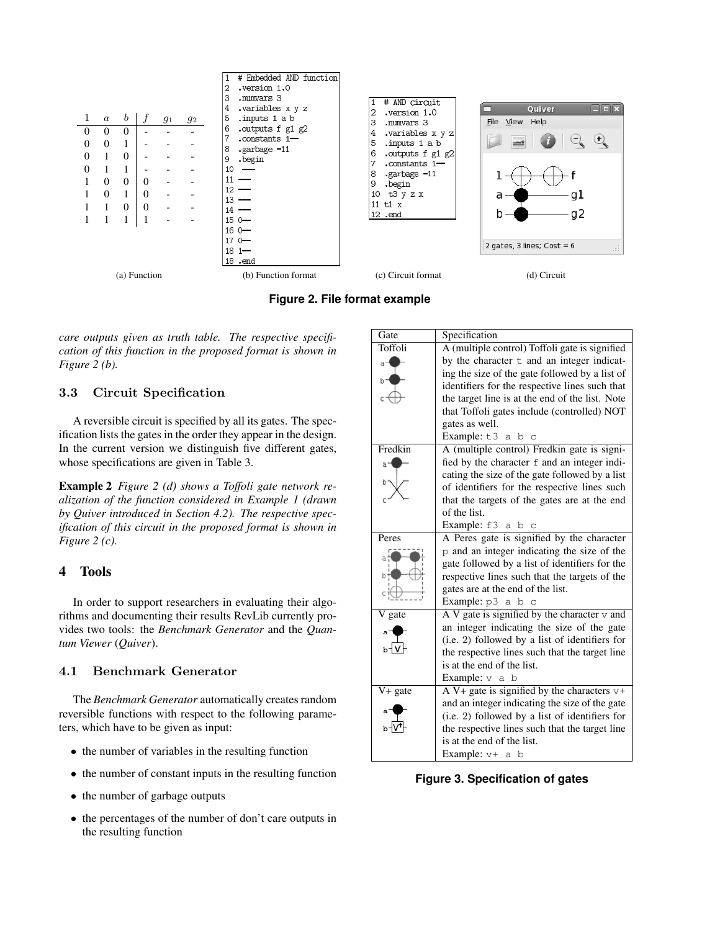

**Figure 2. File format example**

*care outputs given as truth table. The respective specification of this function in the proposed format is shown in Figure 2 (b).*

## 3.3 Circuit Specification

A reversible circuit is specified by all its gates. The specification lists the gates in the order they appear in the design. In the current version we distinguish five different gates, whose specifications are given in Table 3.

Example 2 *Figure 2 (d) shows a Toffoli gate network realization of the function considered in Example 1 (drawn by Quiver introduced in Section 4.2). The respective specification of this circuit in the proposed format is shown in Figure 2 (c).*

# 4 Tools

In order to support researchers in evaluating their algorithms and documenting their results RevLib currently provides two tools: the *Benchmark Generator* and the *Quantum Viewer* (*Quiver*).

# 4.1 Benchmark Generator

The *Benchmark Generator* automatically creates random reversible functions with respect to the following parameters, which have to be given as input:

- the number of variables in the resulting function
- the number of constant inputs in the resulting function
- the number of garbage outputs
- the percentages of the number of don't care outputs in the resulting function

| Gate           | Specification                                   |  |  |  |  |  |
|----------------|-------------------------------------------------|--|--|--|--|--|
| <b>Toffoli</b> | A (multiple control) Toffoli gate is signified  |  |  |  |  |  |
| $a -$          | by the character t and an integer indicat-      |  |  |  |  |  |
| $b -$          | ing the size of the gate followed by a list of  |  |  |  |  |  |
|                | identifiers for the respective lines such that  |  |  |  |  |  |
|                | the target line is at the end of the list. Note |  |  |  |  |  |
|                | that Toffoli gates include (controlled) NOT     |  |  |  |  |  |
|                | gates as well.                                  |  |  |  |  |  |
|                | Example: $t3$ a b c                             |  |  |  |  |  |
| Fredkin        | A (multiple control) Fredkin gate is signi-     |  |  |  |  |  |
| a <sup>–</sup> | fied by the character f and an integer indi-    |  |  |  |  |  |
|                | cating the size of the gate followed by a list  |  |  |  |  |  |
|                | of identifiers for the respective lines such    |  |  |  |  |  |
|                | that the targets of the gates are at the end    |  |  |  |  |  |
|                | of the list.                                    |  |  |  |  |  |
|                | Example: f3 a b c                               |  |  |  |  |  |
| Peres          | A Peres gate is signified by the character      |  |  |  |  |  |
|                | p and an integer indicating the size of the     |  |  |  |  |  |
|                | gate followed by a list of identifiers for the  |  |  |  |  |  |
|                | respective lines such that the targets of the   |  |  |  |  |  |
|                | gates are at the end of the list.               |  |  |  |  |  |
|                | Example: p3 a b c                               |  |  |  |  |  |
| V gate         | A V gate is signified by the character v and    |  |  |  |  |  |
|                | an integer indicating the size of the gate      |  |  |  |  |  |
|                | (i.e. 2) followed by a list of identifiers for  |  |  |  |  |  |
|                | the respective lines such that the target line  |  |  |  |  |  |
|                | is at the end of the list.                      |  |  |  |  |  |
|                | Example: $v$ a $b$                              |  |  |  |  |  |
| V+ gate        | A V+ gate is signified by the characters $v+$   |  |  |  |  |  |
|                | and an integer indicating the size of the gate  |  |  |  |  |  |
|                | (i.e. 2) followed by a list of identifiers for  |  |  |  |  |  |
|                | the respective lines such that the target line  |  |  |  |  |  |
|                | is at the end of the list.                      |  |  |  |  |  |
|                | Example: v+ a b                                 |  |  |  |  |  |

**Figure 3. Specification of gates**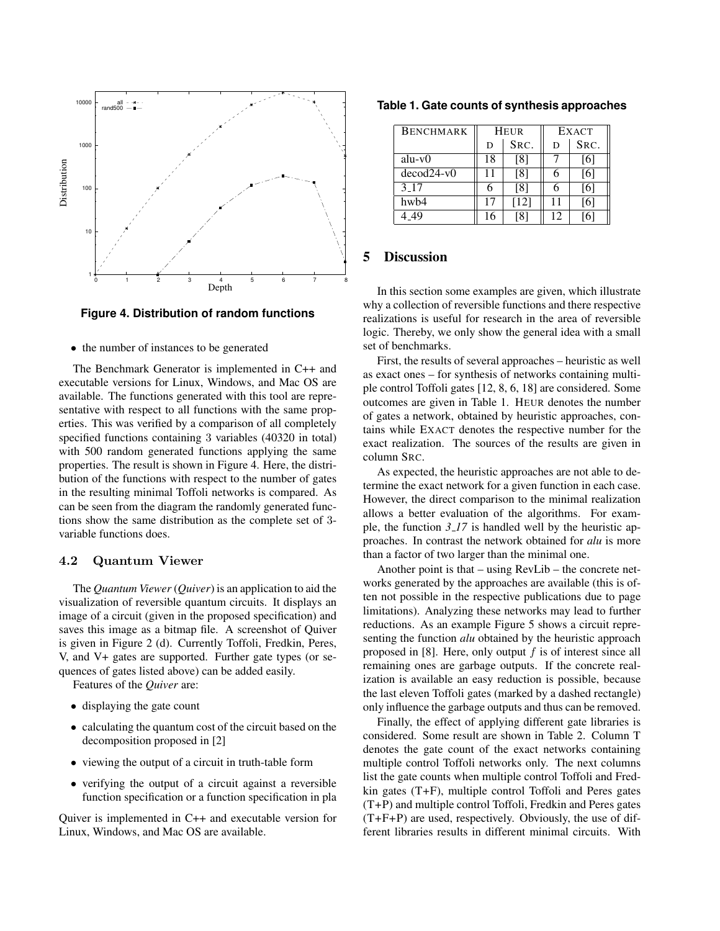

**Figure 4. Distribution of random functions**

• the number of instances to be generated

The Benchmark Generator is implemented in C++ and executable versions for Linux, Windows, and Mac OS are available. The functions generated with this tool are representative with respect to all functions with the same properties. This was verified by a comparison of all completely specified functions containing 3 variables (40320 in total) with 500 random generated functions applying the same properties. The result is shown in Figure 4. Here, the distribution of the functions with respect to the number of gates in the resulting minimal Toffoli networks is compared. As can be seen from the diagram the randomly generated functions show the same distribution as the complete set of 3 variable functions does.

### 4.2 Quantum Viewer

The *Quantum Viewer* (*Quiver*) is an application to aid the visualization of reversible quantum circuits. It displays an image of a circuit (given in the proposed specification) and saves this image as a bitmap file. A screenshot of Quiver is given in Figure 2 (d). Currently Toffoli, Fredkin, Peres, V, and V+ gates are supported. Further gate types (or sequences of gates listed above) can be added easily.

Features of the *Quiver* are:

- displaying the gate count
- calculating the quantum cost of the circuit based on the decomposition proposed in [2]
- viewing the output of a circuit in truth-table form
- verifying the output of a circuit against a reversible function specification or a function specification in pla

Quiver is implemented in C++ and executable version for Linux, Windows, and Mac OS are available.

**Table 1. Gate counts of synthesis approaches**

| <b>BENCHMARK</b> |    | <b>HEUR</b> | <b>EXACT</b> |      |  |
|------------------|----|-------------|--------------|------|--|
|                  | D  | SRC.        | D            | SRC. |  |
| $alu-v0$         | 18 | [8]         |              | [6]  |  |
| $decod24-v0$     | 11 | [8]         |              | [6]  |  |
| 3 1 7            | 6  | [8]         |              | [6]  |  |
| hwb4             | 17 | [12]        | 11           | [6]  |  |
| 449              | 16 |             | 12           | 6    |  |

### 5 Discussion

In this section some examples are given, which illustrate why a collection of reversible functions and there respective realizations is useful for research in the area of reversible logic. Thereby, we only show the general idea with a small set of benchmarks.

First, the results of several approaches – heuristic as well as exact ones – for synthesis of networks containing multiple control Toffoli gates [12, 8, 6, 18] are considered. Some outcomes are given in Table 1. HEUR denotes the number of gates a network, obtained by heuristic approaches, contains while EXACT denotes the respective number for the exact realization. The sources of the results are given in column SRC.

As expected, the heuristic approaches are not able to determine the exact network for a given function in each case. However, the direct comparison to the minimal realization allows a better evaluation of the algorithms. For example, the function  $3\frac{1}{7}$  is handled well by the heuristic approaches. In contrast the network obtained for *alu* is more than a factor of two larger than the minimal one.

Another point is that – using RevLib – the concrete networks generated by the approaches are available (this is often not possible in the respective publications due to page limitations). Analyzing these networks may lead to further reductions. As an example Figure 5 shows a circuit representing the function *alu* obtained by the heuristic approach proposed in  $[8]$ . Here, only output f is of interest since all remaining ones are garbage outputs. If the concrete realization is available an easy reduction is possible, because the last eleven Toffoli gates (marked by a dashed rectangle) only influence the garbage outputs and thus can be removed.

Finally, the effect of applying different gate libraries is considered. Some result are shown in Table 2. Column T denotes the gate count of the exact networks containing multiple control Toffoli networks only. The next columns list the gate counts when multiple control Toffoli and Fredkin gates (T+F), multiple control Toffoli and Peres gates (T+P) and multiple control Toffoli, Fredkin and Peres gates (T+F+P) are used, respectively. Obviously, the use of different libraries results in different minimal circuits. With